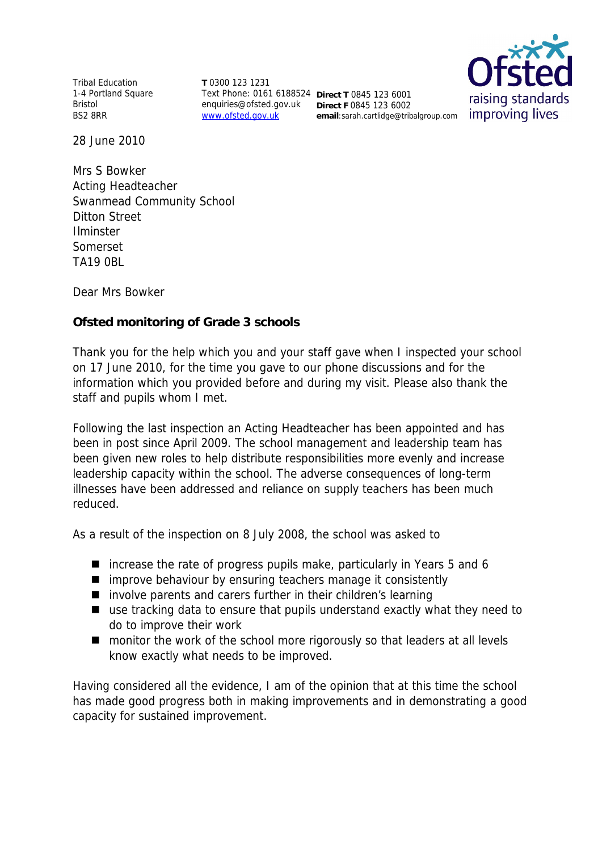Tribal Education 1-4 Portland Square Bristol BS2 8RR

**T** 0300 123 1231 Text Phone: 0161 6188524 **Direct T** 0845 123 6001 enquiries@ofsted.gov.uk **Direct F** 0845 123 6002 www.ofsted.gov.uk

**email**:sarah.cartlidge@tribalgroup.com



28 June 2010

Mrs S Bowker Acting Headteacher Swanmead Community School Ditton Street Ilminster Somerset TA19 0BL

Dear Mrs Bowker

**Ofsted monitoring of Grade 3 schools**

Thank you for the help which you and your staff gave when I inspected your school on 17 June 2010*,* for the time you gave to our phone discussions and for the information which you provided before and during my visit*.* Please also thank the staff and pupils whom I met.

Following the last inspection an Acting Headteacher has been appointed and has been in post since April 2009. The school management and leadership team has been given new roles to help distribute responsibilities more evenly and increase leadership capacity within the school. The adverse consequences of long-term illnesses have been addressed and reliance on supply teachers has been much reduced.

As a result of the inspection on 8 July 2008, the school was asked to

- $\blacksquare$  increase the rate of progress pupils make, particularly in Years 5 and 6
- **I** improve behaviour by ensuring teachers manage it consistently
- involve parents and carers further in their children's learning
- use tracking data to ensure that pupils understand exactly what they need to do to improve their work
- monitor the work of the school more rigorously so that leaders at all levels know exactly what needs to be improved.

Having considered all the evidence, I am of the opinion that at this time the school has made good progress both in making improvements and in demonstrating a good capacity for sustained improvement.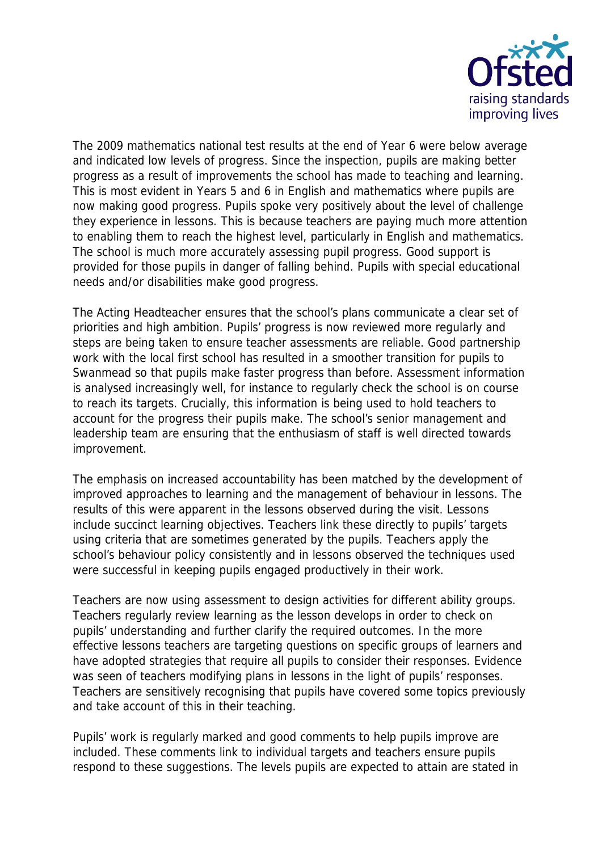

The 2009 mathematics national test results at the end of Year 6 were below average and indicated low levels of progress. Since the inspection, pupils are making better progress as a result of improvements the school has made to teaching and learning. This is most evident in Years 5 and 6 in English and mathematics where pupils are now making good progress. Pupils spoke very positively about the level of challenge they experience in lessons. This is because teachers are paying much more attention to enabling them to reach the highest level, particularly in English and mathematics. The school is much more accurately assessing pupil progress. Good support is provided for those pupils in danger of falling behind. Pupils with special educational needs and/or disabilities make good progress.

The Acting Headteacher ensures that the school's plans communicate a clear set of priorities and high ambition. Pupils' progress is now reviewed more regularly and steps are being taken to ensure teacher assessments are reliable. Good partnership work with the local first school has resulted in a smoother transition for pupils to Swanmead so that pupils make faster progress than before. Assessment information is analysed increasingly well, for instance to regularly check the school is on course to reach its targets. Crucially, this information is being used to hold teachers to account for the progress their pupils make. The school's senior management and leadership team are ensuring that the enthusiasm of staff is well directed towards improvement.

The emphasis on increased accountability has been matched by the development of improved approaches to learning and the management of behaviour in lessons. The results of this were apparent in the lessons observed during the visit. Lessons include succinct learning objectives. Teachers link these directly to pupils' targets using criteria that are sometimes generated by the pupils. Teachers apply the school's behaviour policy consistently and in lessons observed the techniques used were successful in keeping pupils engaged productively in their work.

Teachers are now using assessment to design activities for different ability groups. Teachers regularly review learning as the lesson develops in order to check on pupils' understanding and further clarify the required outcomes. In the more effective lessons teachers are targeting questions on specific groups of learners and have adopted strategies that require all pupils to consider their responses. Evidence was seen of teachers modifying plans in lessons in the light of pupils' responses. Teachers are sensitively recognising that pupils have covered some topics previously and take account of this in their teaching.

Pupils' work is regularly marked and good comments to help pupils improve are included. These comments link to individual targets and teachers ensure pupils respond to these suggestions. The levels pupils are expected to attain are stated in